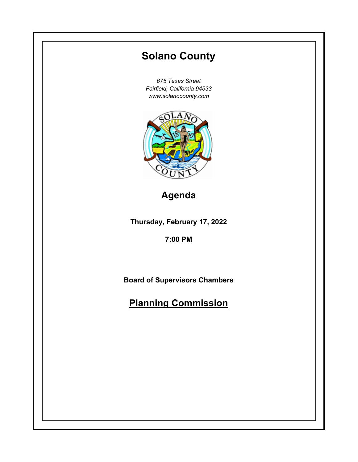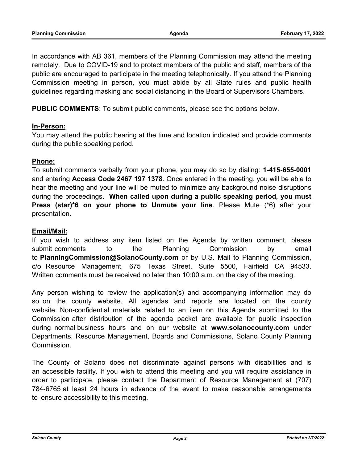In accordance with AB 361, members of the Planning Commission may attend the meeting remotely. Due to COVID-19 and to protect members of the public and staff, members of the public are encouraged to participate in the meeting telephonically. If you attend the Planning Commission meeting in person, you must abide by all State rules and public health guidelines regarding masking and social distancing in the Board of Supervisors Chambers.

**PUBLIC COMMENTS**: To submit public comments, please see the options below.

## **In-Person:**

You may attend the public hearing at the time and location indicated and provide comments during the public speaking period.

## **Phone:**

To submit comments verbally from your phone, you may do so by dialing: **1-415-655-0001** and entering **Access Code 2467 197 1378**. Once entered in the meeting, you will be able to hear the meeting and your line will be muted to minimize any background noise disruptions during the proceedings. **When called upon during a public speaking period, you must Press (star)\*6 on your phone to Unmute your line**. Please Mute (\*6) after your presentation.

## **Email/Mail:**

If you wish to address any item listed on the Agenda by written comment, please submit comments to the Planning Commission by email to **PlanningCommission@SolanoCounty.com** or by U.S. Mail to Planning Commission, c/o Resource Management, 675 Texas Street, Suite 5500, Fairfield CA 94533. Written comments must be received no later than 10:00 a.m. on the day of the meeting.

Any person wishing to review the application(s) and accompanying information may do so on the county website. All agendas and reports are located on the county website. Non-confidential materials related to an item on this Agenda submitted to the Commission after distribution of the agenda packet are available for public inspection during normal business hours and on our website at **www.solanocounty.com** under Departments, Resource Management, Boards and Commissions, Solano County Planning Commission.

The County of Solano does not discriminate against persons with disabilities and is an accessible facility. If you wish to attend this meeting and you will require assistance in order to participate, please contact the Department of Resource Management at (707) 784-6765 at least 24 hours in advance of the event to make reasonable arrangements to ensure accessibility to this meeting.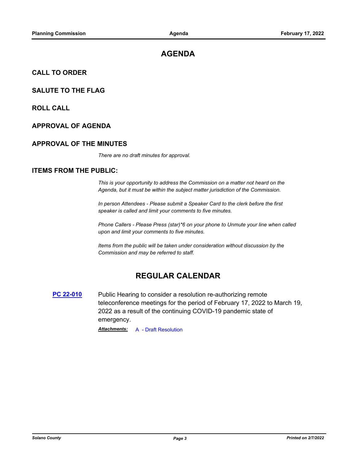# **AGENDA**

#### **CALL TO ORDER**

#### **SALUTE TO THE FLAG**

**ROLL CALL**

#### **APPROVAL OF AGENDA**

#### **APPROVAL OF THE MINUTES**

*There are no draft minutes for approval.*

#### **ITEMS FROM THE PUBLIC:**

*This is your opportunity to address the Commission on a matter not heard on the Agenda, but it must be within the subject matter jurisdiction of the Commission.* 

*In person Attendees - Please submit a Speaker Card to the clerk before the first speaker is called and limit your comments to five minutes.* 

*Phone Callers - Please Press (star)\*6 on your phone to Unmute your line when called upon and limit your comments to five minutes.* 

*Items from the public will be taken under consideration without discussion by the Commission and may be referred to staff.*

## **REGULAR CALENDAR**

**PC 22-010** Public Hearing to consider a resolution re-authorizing remote teleconference meetings for the period of February 17, 2022 to March 19, 2022 as a result of the continuing COVID-19 pandemic state of emergency.

*Attachments:* A - Draft Resolution